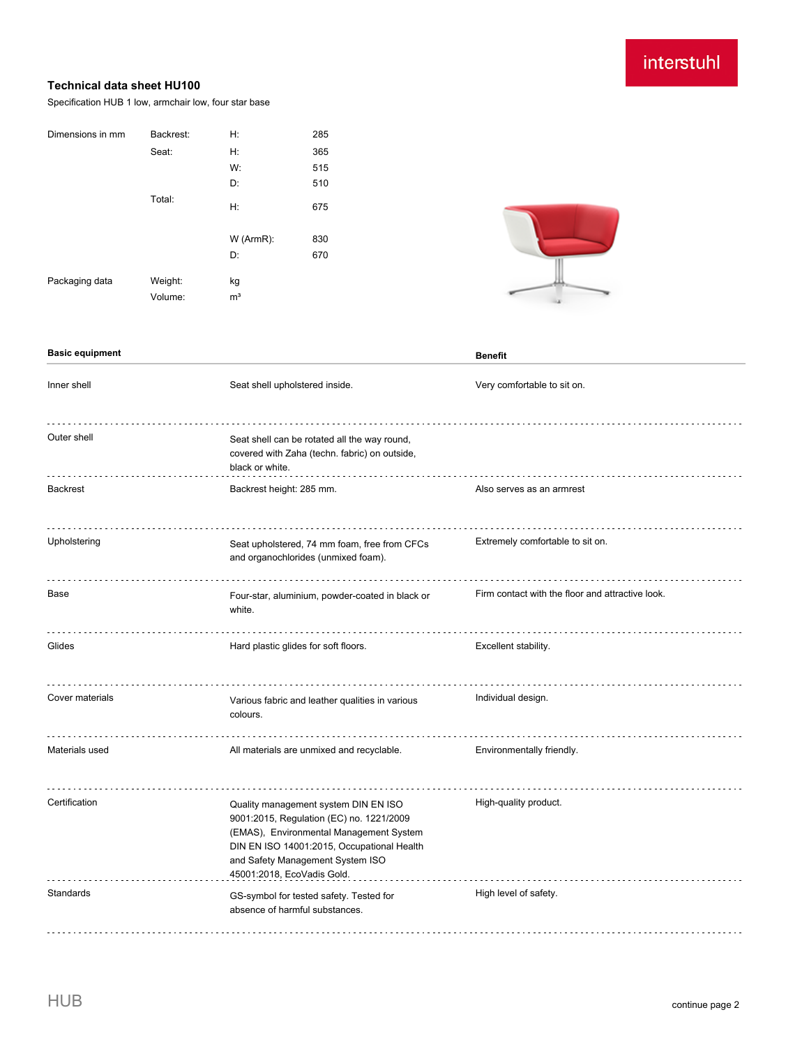### interstuhl

### **Technical data sheet HU100**

Specification HUB 1 low, armchair low, four star base

| Dimensions in mm | Backrest: | H:             | 285 |
|------------------|-----------|----------------|-----|
|                  | Seat:     | Н:             | 365 |
|                  |           | W:             | 515 |
|                  |           | D:             | 510 |
|                  | Total:    | H:             | 675 |
|                  |           | W (ArmR):      | 830 |
|                  |           | D:             | 670 |
| Packaging data   | Weight:   | kg             |     |
|                  | Volume:   | m <sup>3</sup> |     |



#### **Basic equipment Benefit** Inner shell Seat shell upholstered inside. Very comfortable to sit on. . . . . . . . . . . . . . . . . . . . Outer shell Seat shell can be rotated all the way round, covered with Zaha (techn. fabric) on outside, black or white. Backrest Backrest height: 285 mm. Also serves as an armrest and armrest backrest height: 285 mm. . . . . . . . . . Upholstering Seat upholstered, 74 mm foam, free from CFCs Extremely comfortable to sit on. and organochlorides (unmixed foam). Firm contact with the floor and attractive look. Base Four-star, aluminium, powder-coated in black or white. Glides **Hard plastic glides for soft floors.** Excellent stability. Cover materials Various fabric and leather qualities in various Individual design. colours. Materials used **All materials are unmixed and recyclable.** Environmentally friendly. Certification Quality management system DIN EN ISO High-quality product. 9001:2015, Regulation (EC) no. 1221/2009 (EMAS), Environmental Management System DIN EN ISO 14001:2015, Occupational Health and Safety Management System ISO 45001:2018, EcoVadis Gold. . . . . . . . . . . . . . . . . Standards GS-symbol for tested safety. Tested for High level of safety. absence of harmful substances.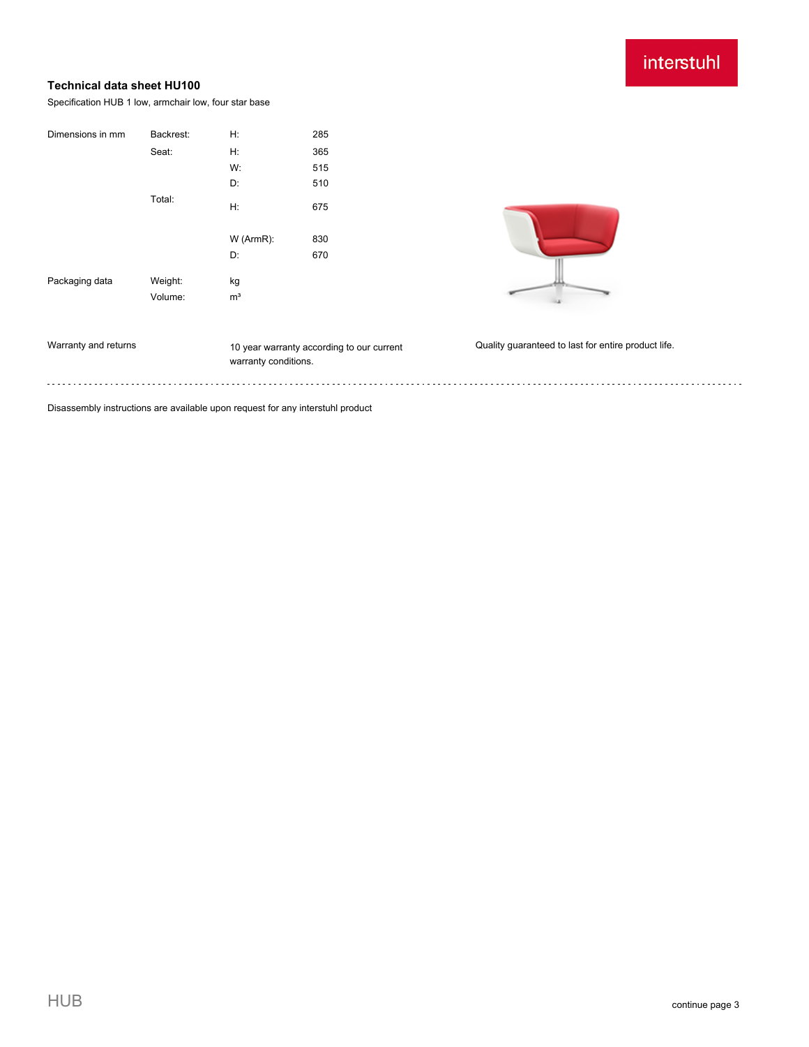## interstuhl

### **Technical data sheet HU100**

Specification HUB 1 low, armchair low, four star base

| Dimensions in mm                                                               | Backrest: | H:                   | 285                                       |                                                     |  |
|--------------------------------------------------------------------------------|-----------|----------------------|-------------------------------------------|-----------------------------------------------------|--|
|                                                                                | Seat:     | H:                   | 365                                       |                                                     |  |
|                                                                                |           | W:                   | 515                                       |                                                     |  |
|                                                                                |           | D:                   | 510                                       |                                                     |  |
|                                                                                | Total:    | H:                   | 675                                       |                                                     |  |
|                                                                                |           | W (ArmR):            | 830                                       |                                                     |  |
|                                                                                |           | D:                   | 670                                       |                                                     |  |
| Packaging data                                                                 | Weight:   | kg                   |                                           |                                                     |  |
|                                                                                | Volume:   | m <sup>3</sup>       |                                           |                                                     |  |
|                                                                                |           |                      |                                           |                                                     |  |
| Warranty and returns                                                           |           | warranty conditions. | 10 year warranty according to our current | Quality guaranteed to last for entire product life. |  |
|                                                                                |           |                      |                                           |                                                     |  |
| Disassembly instructions are available upon request for any interstuhl product |           |                      |                                           |                                                     |  |